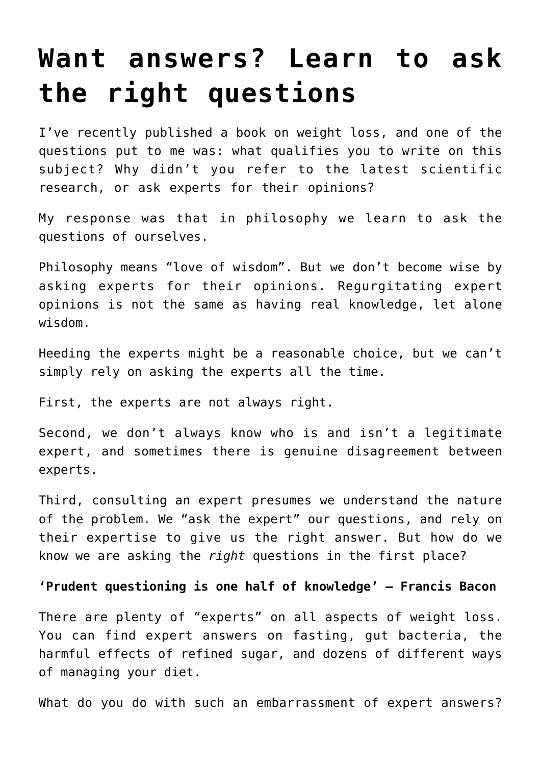# **[Want answers? Learn to ask](https://intellectualtakeout.org/2017/06/want-answers-learn-to-ask-the-right-questions/) [the right questions](https://intellectualtakeout.org/2017/06/want-answers-learn-to-ask-the-right-questions/)**

I've recently published a book on weight loss, and one of the questions put to me was: what qualifies you to write on this subject? Why didn't you refer to the latest scientific research, or ask experts for their opinions?

My response was that in philosophy we learn to ask the questions of ourselves.

Philosophy means "love of wisdom". But we don't become wise by asking experts for their opinions. Regurgitating expert opinions is not the same as having real knowledge, let alone wisdom.

Heeding the experts might be a reasonable choice, but we can't simply rely on asking the experts all the time.

First, the experts are not always right.

Second, we don't always know who is and isn't a legitimate expert, and sometimes there is genuine disagreement between experts.

Third, consulting an expert presumes we understand the nature of the problem. We "ask the expert" our questions, and rely on their expertise to give us the right answer. But how do we know we are asking the *right* questions in the first place?

#### **'Prudent questioning is one half of knowledge' – Francis Bacon**

There are plenty of "experts" on all aspects of weight loss. You can find expert answers on fasting, gut bacteria, the harmful effects of refined sugar, and dozens of different ways of managing your diet.

What do you do with such an embarrassment of expert answers?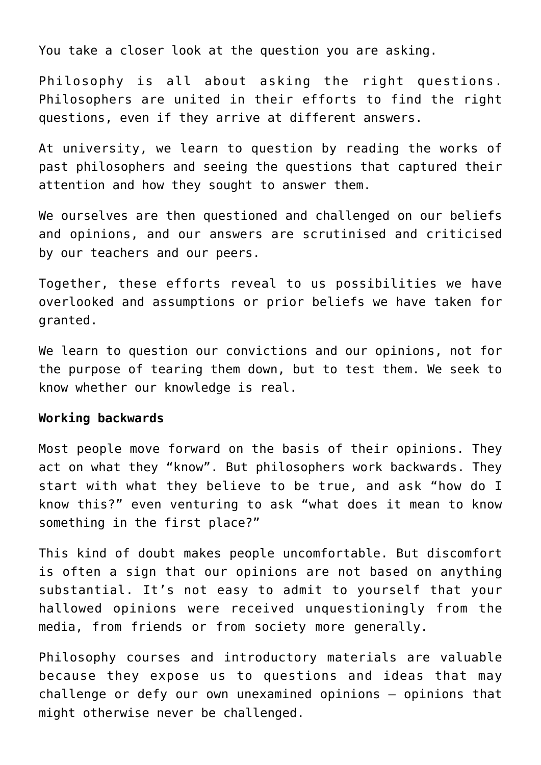You take a closer look at the question you are asking.

Philosophy is all about asking the right questions. Philosophers are united in their efforts to find the right questions, even if they arrive at different answers.

At university, we learn to question by reading the works of past philosophers and seeing the questions that captured their attention and how they sought to answer them.

We ourselves are then questioned and challenged on our beliefs and opinions, and our answers are scrutinised and criticised by our teachers and our peers.

Together, these efforts reveal to us possibilities we have overlooked and assumptions or prior beliefs we have taken for granted.

We learn to question our convictions and our opinions, not for the purpose of tearing them down, but to test them. We seek to know whether our knowledge is real.

## **Working backwards**

Most people move forward on the basis of their opinions. They act on what they "know". But philosophers work backwards. They start with what they believe to be true, and ask "how do I know this?" even venturing to ask "what does it mean to know something in the first place?"

This kind of doubt makes people uncomfortable. But discomfort is often a sign that our opinions are not based on anything substantial. It's not easy to admit to yourself that your hallowed opinions were received unquestioningly from the media, from friends or from society more generally.

Philosophy courses and introductory materials are valuable because they expose us to questions and ideas that may challenge or defy our own unexamined opinions – opinions that might otherwise never be challenged.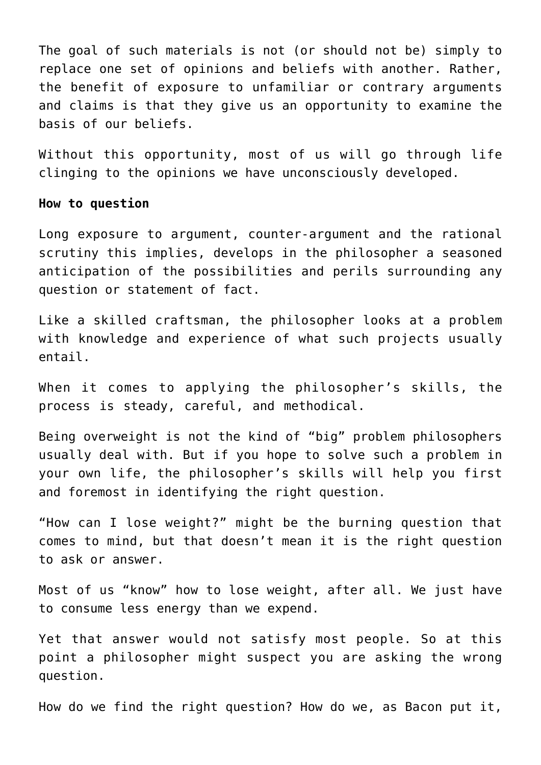The goal of such materials is not (or should not be) simply to replace one set of opinions and beliefs with another. Rather, the benefit of exposure to unfamiliar or contrary arguments and claims is that they give us an opportunity to examine the basis of our beliefs.

Without this opportunity, most of us will go through life clinging to the opinions we have unconsciously developed.

#### **How to question**

Long exposure to argument, counter-argument and the rational scrutiny this implies, develops in the philosopher a seasoned anticipation of the possibilities and perils surrounding any question or statement of fact.

Like a skilled craftsman, the philosopher looks at a problem with knowledge and experience of what such projects usually entail.

When it comes to applying the philosopher's skills, the process is steady, careful, and methodical.

Being overweight is not the kind of "big" problem philosophers usually deal with. But if you hope to solve such a problem in your own life, the philosopher's skills will help you first and foremost in identifying the right question.

"How can I lose weight?" might be the burning question that comes to mind, but that doesn't mean it is the right question to ask or answer.

Most of us "know" how to lose weight, after all. We just have to consume less energy than we expend.

Yet that answer would not satisfy most people. So at this point a philosopher might suspect you are asking the wrong question.

How do we find the right question? How do we, as Bacon put it,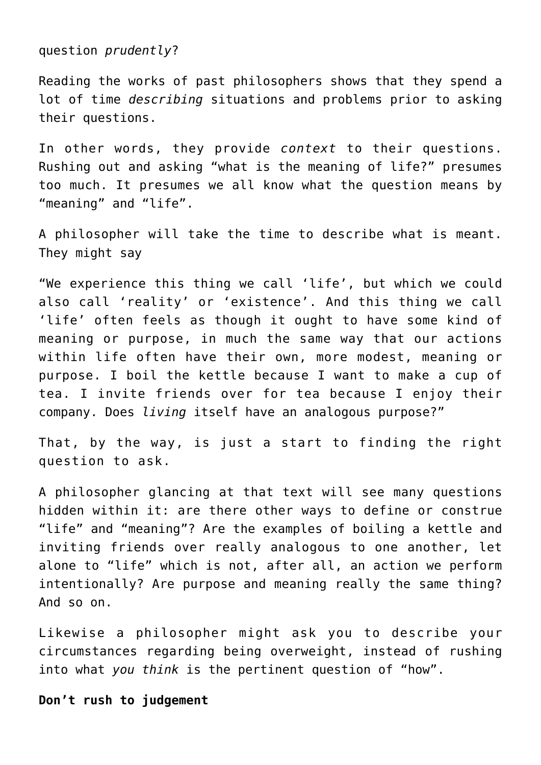question *prudently*?

Reading the works of past philosophers shows that they spend a lot of time *describing* situations and problems prior to asking their questions.

In other words, they provide *context* to their questions. Rushing out and asking "what is the meaning of life?" presumes too much. It presumes we all know what the question means by "meaning" and "life".

A philosopher will take the time to describe what is meant. They might say

"We experience this thing we call 'life', but which we could also call 'reality' or 'existence'. And this thing we call 'life' often feels as though it ought to have some kind of meaning or purpose, in much the same way that our actions within life often have their own, more modest, meaning or purpose. I boil the kettle because I want to make a cup of tea. I invite friends over for tea because I enjoy their company. Does *living* itself have an analogous purpose?"

That, by the way, is just a start to finding the right question to ask.

A philosopher glancing at that text will see many questions hidden within it: are there other ways to define or construe "life" and "meaning"? Are the examples of boiling a kettle and inviting friends over really analogous to one another, let alone to "life" which is not, after all, an action we perform intentionally? Are purpose and meaning really the same thing? And so on.

Likewise a philosopher might ask you to describe your circumstances regarding being overweight, instead of rushing into what *you think* is the pertinent question of "how".

## **Don't rush to judgement**